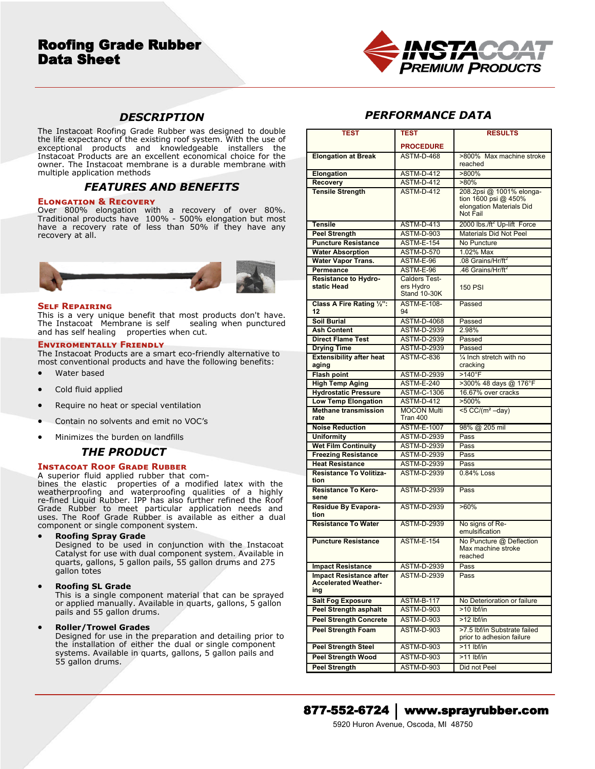# Roofing Grade Rubber Data Sheet



# *DESCRIPTION*

The Instacoat Roofing Grade Rubber was designed to double the life expectancy of the existing roof system. With the use of exceptional products and knowledgeable installers the Instacoat Products are an excellent economical choice for the owner. The Instacoat membrane is a durable membrane with multiple application methods

## *FEATURES AND BENEFITS*

#### **Elongation & Recovery**

Over 800% elongation with a recovery of over 80%. Traditional products have 100% - 500% elongation but most have a recovery rate of less than 50% if they have any recovery at all.



#### **Self Repairing**

This is a very unique benefit that most products don't have. The Instacoat Membrane is self sealing when punctured and has self healing properties when cut.

#### **Enviromentally Friendly**

The Instacoat Products are a smart eco-friendly alternative to most conventional products and have the following benefits:

- Water based
- Cold fluid applied
- Require no heat or special ventilation
- Contain no solvents and emit no VOC's
- Minimizes the burden on landfills

# *THE PRODUCT*

## **Instacoat Roof Grade Rubber**

A superior fluid applied rubber that combines the elastic properties of a modified latex with the weatherproofing and waterproofing qualities of a highly re-fined Liquid Rubber. IPP has also further refined the Roof Grade Rubber to meet particular application needs and uses. The Roof Grade Rubber is available as either a dual component or single component system.

**Roofing Spray Grade**

Designed to be used in conjunction with the Instacoat Catalyst for use with dual component system. Available in quarts, gallons, 5 gallon pails, 55 gallon drums and 275 gallon totes

## **Roofing SL Grade**

This is a single component material that can be sprayed or applied manually. Available in quarts, gallons, 5 gallon pails and 55 gallon drums.

## **Roller/Trowel Grades**

Designed for use in the preparation and detailing prior to the installation of either the dual or single component systems. Available in quarts, gallons, 5 gallon pails and 55 gallon drums.

# *PERFORMANCE DATA*

| TEST                                                          | TEST                             | <b>RESULTS</b>                          |
|---------------------------------------------------------------|----------------------------------|-----------------------------------------|
|                                                               | <b>PROCEDURE</b>                 |                                         |
| <b>Elongation at Break</b>                                    | ASTM-D-468                       | >800% Max machine stroke                |
|                                                               |                                  | reached                                 |
| Elongation                                                    | <b>ASTM-D-412</b>                | >800%                                   |
| <b>Recovery</b>                                               | <b>ASTM-D-412</b>                | $>80\%$                                 |
| <b>Tensile Strength</b>                                       | <b>ASTM-D-412</b>                | 208.2psi @ 1001% elonga-                |
|                                                               |                                  | tion $1600$ psi @ 450%                  |
|                                                               |                                  | elongation Materials Did                |
|                                                               |                                  | Not Fail                                |
| <b>Tensile</b>                                                | <b>ASTM-D-413</b>                | 2000 lbs./ft <sup>2</sup> Up-lift Force |
| <b>Peel Strength</b>                                          | <b>ASTM-D-903</b>                | <b>Materials Did Not Peel</b>           |
| <b>Puncture Resistance</b>                                    | <b>ASTM-E-154</b>                | No Puncture                             |
| <b>Water Absorption</b>                                       | <b>ASTM-D-570</b>                | 1.02% Max                               |
| <b>Water Vapor Trans.</b>                                     | ASTM-E-96                        | .08 Grains/Hr/ft <sup>2</sup>           |
| <b>Permeance</b>                                              | ASTM-E-96                        | .46 Grains/Hr/ft <sup>2</sup>           |
| <b>Resistance to Hydro-</b>                                   | <b>Calders Test-</b>             |                                         |
| static Head                                                   | ers Hydro<br><b>Stand 10-30K</b> | <b>150 PSI</b>                          |
| Class A Fire Rating 1/2":                                     | <b>ASTM-E-108-</b>               | Passed                                  |
| 12                                                            | 94                               |                                         |
| <b>Soil Burial</b>                                            | <b>ASTM-D-4068</b>               | Passed                                  |
| <b>Ash Content</b>                                            | <b>ASTM-D-2939</b>               | 2.98%                                   |
| <b>Direct Flame Test</b>                                      | <b>ASTM-D-2939</b>               | Passed                                  |
| <b>Drying Time</b>                                            | <b>ASTM-D-2939</b>               | Passed                                  |
| <b>Extensibility after heat</b>                               | <b>ASTM-C-836</b>                | 1/4 Inch stretch with no                |
| aging                                                         |                                  | cracking                                |
| <b>Flash point</b>                                            | <b>ASTM-D-2939</b>               | $>140^{\circ}$ F                        |
| <b>High Temp Aging</b>                                        | <b>ASTM-E-240</b>                | >300% 48 days @ 176°F                   |
| <b>Hydrostatic Pressure</b>                                   | <b>ASTM-C-1306</b>               | 16.67% over cracks                      |
| <b>Low Temp Elongation</b>                                    | <b>ASTM-D-412</b>                | $>500\%$                                |
| <b>Methane transmission</b>                                   | <b>MOCON Multi</b>               | $<$ 5 CC/(m <sup>2</sup> -day)          |
| rate                                                          | Tran 400                         |                                         |
| <b>Noise Reduction</b>                                        | <b>ASTM-E-1007</b>               | 98% @ 205 mil                           |
| <b>Uniformity</b>                                             | <b>ASTM-D-2939</b>               | Pass                                    |
| <b>Wet Film Continuity</b>                                    | <b>ASTM-D-2939</b>               | Pass                                    |
| <b>Freezing Resistance</b>                                    | <b>ASTM-D-2939</b>               | Pass                                    |
| <b>Heat Resistance</b><br><b>Resistance To Volitiza-</b>      | <b>ASTM-D-2939</b>               | Pass                                    |
| tion                                                          | <b>ASTM-D-2939</b>               | 0.84% Loss                              |
| <b>Resistance To Kero-</b>                                    | <b>ASTM-D-2939</b>               | Pass                                    |
| sene                                                          |                                  |                                         |
| Residue By Evapora-                                           | <b>ASTM-D-2939</b>               | $>60\%$                                 |
| tion                                                          |                                  |                                         |
| <b>Resistance To Water</b>                                    | <b>ASTM-D-2939</b>               | No signs of Re-                         |
|                                                               |                                  | emulsification                          |
| <b>Puncture Resistance</b>                                    | <b>ASTM-E-154</b>                | No Puncture @ Deflection                |
|                                                               |                                  | Max machine stroke<br>reached           |
|                                                               |                                  |                                         |
| <b>Impact Resistance</b>                                      | ASTM-D-2939                      | Pass                                    |
| <b>Impact Resistance after</b><br><b>Accelerated Weather-</b> | <b>ASTM-D-2939</b>               | Pass                                    |
| ing                                                           |                                  |                                         |
| <b>Salt Fog Exposure</b>                                      | <b>ASTM-B-117</b>                | No Deterioration or failure             |
| <b>Peel Strength asphalt</b>                                  | <b>ASTM-D-903</b>                | $>10$ lbf/in                            |
| <b>Peel Strength Concrete</b>                                 | ASTM-D-903                       | $>12$ lbf/in                            |
| <b>Peel Strength Foam</b>                                     | <b>ASTM-D-903</b>                | >7.5 lbf/in Substrate failed            |
|                                                               |                                  | prior to adhesion failure               |
| <b>Peel Strength Steel</b>                                    | ASTM-D-903                       | $>11$ lbf/in                            |
| <b>Peel Strength Wood</b>                                     | ASTM-D-903                       | >11 lbf/in                              |
| <b>Peel Strength</b>                                          | ASTM-D-903                       | Did not Peel                            |
|                                                               |                                  |                                         |



## 877-552-6724 www.sprayrubber.com

5920 Huron Avenue, Oscoda, MI 48750